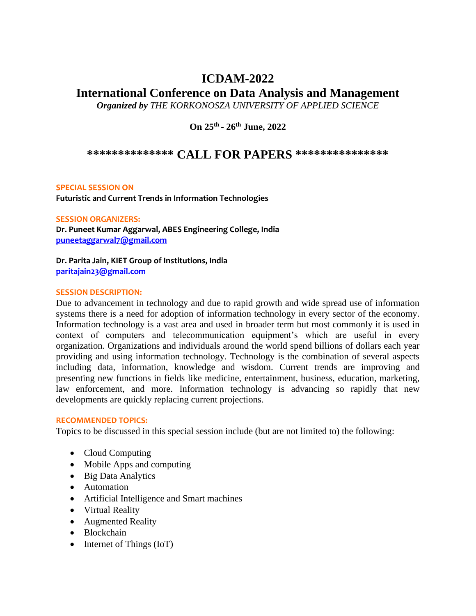# **ICDAM-2022**

# **International Conference on Data Analysis and Management**

*Organized by THE KORKONOSZA UNIVERSITY OF APPLIED SCIENCE* 

**On 25th - 26th June, 2022**

# **\*\*\*\*\*\*\*\*\*\*\*\*\*\* CALL FOR PAPERS \*\*\*\*\*\*\*\*\*\*\*\*\*\*\***

## **SPECIAL SESSION ON**

**Futuristic and Current Trends in Information Technologies**

**SESSION ORGANIZERS:** 

**Dr. Puneet Kumar Aggarwal, ABES Engineering College, India [puneetaggarwal7@gmail.com](mailto:puneetaggarwal7@gmail.com)**

**Dr. Parita Jain, KIET Group of Institutions, India [paritajain23@gmail.com](mailto:paritajain23@gmail.com)**

### **SESSION DESCRIPTION:**

Due to advancement in technology and due to rapid growth and wide spread use of information systems there is a need for adoption of information technology in every sector of the economy. Information technology is a vast area and used in broader term but most commonly it is used in context of computers and telecommunication equipment's which are useful in every organization. Organizations and individuals around the world spend billions of dollars each year providing and using information technology. Technology is the combination of several aspects including data, information, knowledge and wisdom. Current trends are improving and presenting new functions in fields like medicine, entertainment, business, education, marketing, law enforcement, and more. Information technology is advancing so rapidly that new developments are quickly replacing current projections.

#### **RECOMMENDED TOPICS:**

Topics to be discussed in this special session include (but are not limited to) the following:

- Cloud Computing
- Mobile Apps and computing
- Big Data Analytics
- Automation
- Artificial Intelligence and Smart machines
- Virtual Reality
- Augmented Reality
- Blockchain
- Internet of Things (IoT)